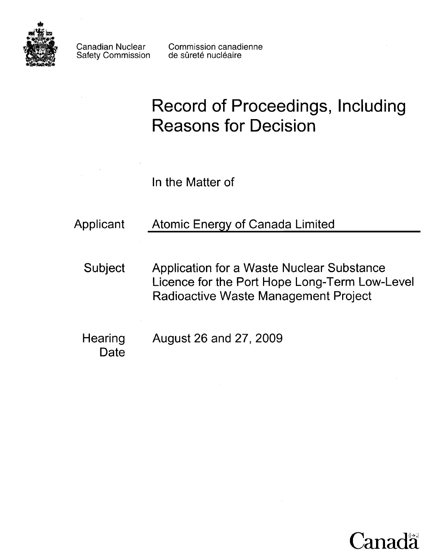

Safety Commission

# **Record of Proceedings, Including Reasons for Decision**

In the Matter of

| Applicant | <b>Atomic Energy of Canada Limited</b> |
|-----------|----------------------------------------|
|           |                                        |

- Subject Application for a Waste Nuclear Substance Licence for the Port Hope Long-Term Low-Level Radioactive Waste Management Project
- Hearing August 26 and 27, 2009 **Date**

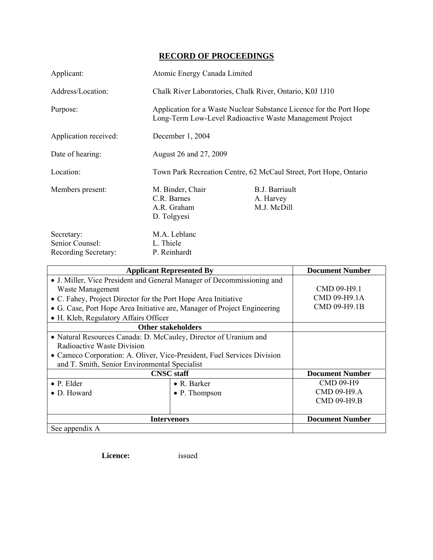# **RECORD OF PROCEEDINGS**

| Applicant:                                            | Atomic Energy Canada Limited                                                                                                    |                                                   |
|-------------------------------------------------------|---------------------------------------------------------------------------------------------------------------------------------|---------------------------------------------------|
| Address/Location:                                     | Chalk River Laboratories, Chalk River, Ontario, K0J 1J10                                                                        |                                                   |
| Purpose:                                              | Application for a Waste Nuclear Substance Licence for the Port Hope<br>Long-Term Low-Level Radioactive Waste Management Project |                                                   |
| Application received:                                 | December 1, 2004                                                                                                                |                                                   |
| Date of hearing:                                      | August 26 and 27, 2009                                                                                                          |                                                   |
| Location:                                             | Town Park Recreation Centre, 62 McCaul Street, Port Hope, Ontario                                                               |                                                   |
| Members present:                                      | M. Binder, Chair<br>C.R. Barnes<br>A.R. Graham<br>D. Tolgyesi                                                                   | <b>B.J. Barriault</b><br>A. Harvey<br>M.J. McDill |
| Secretary:<br>Senior Counsel:<br>Recording Secretary: | M.A. Leblanc<br>L. Thiele<br>P. Reinhardt                                                                                       |                                                   |

| <b>Applicant Represented By</b>                                          |                           | <b>Document Number</b> |
|--------------------------------------------------------------------------|---------------------------|------------------------|
| • J. Miller, Vice President and General Manager of Decommissioning and   |                           |                        |
| Waste Management                                                         |                           | CMD 09-H9.1            |
| • C. Fahey, Project Director for the Port Hope Area Initiative           |                           | CMD 09-H9.1A           |
| • G. Case, Port Hope Area Initiative are, Manager of Project Engineering |                           | CMD 09-H9.1B           |
| • H. Kleb, Regulatory Affairs Officer                                    |                           |                        |
|                                                                          | <b>Other stakeholders</b> |                        |
| • Natural Resources Canada: D. McCauley, Director of Uranium and         |                           |                        |
| Radioactive Waste Division                                               |                           |                        |
| • Cameco Corporation: A. Oliver, Vice-President, Fuel Services Division  |                           |                        |
| and T. Smith, Senior Environmental Specialist                            |                           |                        |
| <b>CNSC</b> staff                                                        |                           | <b>Document Number</b> |
| $\bullet$ P. Elder                                                       | $\bullet$ R. Barker       | <b>CMD 09-H9</b>       |
| $\bullet$ D. Howard                                                      | • P. Thompson             | $CMD$ 09-H9.A          |
|                                                                          |                           | <b>CMD 09-H9.B</b>     |
|                                                                          |                           |                        |
| <b>Intervenors</b>                                                       |                           | <b>Document Number</b> |
| See appendix A                                                           |                           |                        |

**Licence:** issued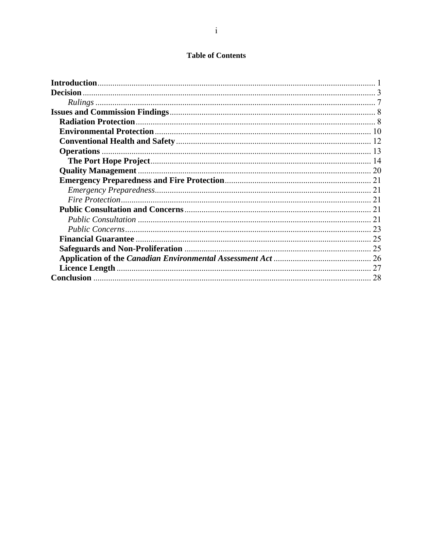### **Table of Contents**

| Introduction.   |    |
|-----------------|----|
| <b>Decision</b> |    |
|                 |    |
|                 |    |
|                 |    |
|                 |    |
|                 |    |
|                 |    |
|                 |    |
|                 |    |
|                 |    |
|                 |    |
|                 |    |
|                 |    |
|                 | 21 |
|                 |    |
|                 |    |
|                 |    |
|                 |    |
|                 |    |
|                 | 28 |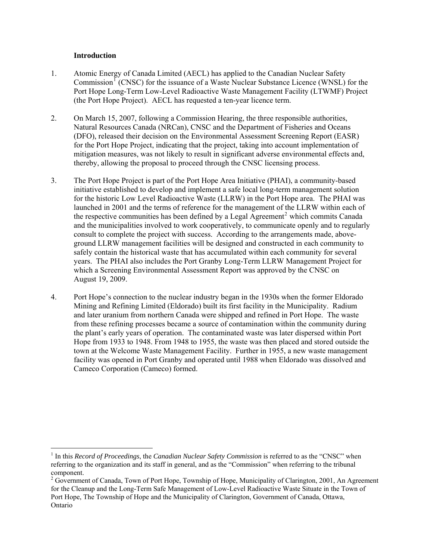#### **Introduction**

- <span id="page-3-0"></span>1. Atomic Energy of Canada Limited (AECL) has applied to the Canadian Nuclear Safety Commission<sup>[1](#page-3-1)</sup> (CNSC) for the issuance of a Waste Nuclear Substance Licence (WNSL) for the Port Hope Long-Term Low-Level Radioactive Waste Management Facility (LTWMF) Project (the Port Hope Project). AECL has requested a ten-year licence term.
- 2. On March 15, 2007, following a Commission Hearing, the three responsible authorities, Natural Resources Canada (NRCan), CNSC and the Department of Fisheries and Oceans (DFO), released their decision on the Environmental Assessment Screening Report (EASR) for the Port Hope Project, indicating that the project, taking into account implementation of mitigation measures, was not likely to result in significant adverse environmental effects and, thereby, allowing the proposal to proceed through the CNSC licensing process.
- 3. The Port Hope Project is part of the Port Hope Area Initiative (PHAI), a community-based initiative established to develop and implement a safe local long-term management solution for the historic Low Level Radioactive Waste (LLRW) in the Port Hope area. The PHAI was launched in 2001 and the terms of reference for the management of the LLRW within each of the respective communities has been defined by a Legal Agreement<sup>[2](#page-3-2)</sup> which commits Canada and the municipalities involved to work cooperatively, to communicate openly and to regularly consult to complete the project with success. According to the arrangements made, aboveground LLRW management facilities will be designed and constructed in each community to safely contain the historical waste that has accumulated within each community for several years. The PHAI also includes the Port Granby Long-Term LLRW Management Project for which a Screening Environmental Assessment Report was approved by the CNSC on August 19, 2009.
- 4. Port Hope's connection to the nuclear industry began in the 1930s when the former Eldorado Mining and Refining Limited (Eldorado) built its first facility in the Municipality. Radium and later uranium from northern Canada were shipped and refined in Port Hope. The waste from these refining processes became a source of contamination within the community during the plant's early years of operation. The contaminated waste was later dispersed within Port Hope from 1933 to 1948. From 1948 to 1955, the waste was then placed and stored outside the town at the Welcome Waste Management Facility. Further in 1955, a new waste management facility was opened in Port Granby and operated until 1988 when Eldorado was dissolved and Cameco Corporation (Cameco) formed.

<span id="page-3-1"></span><sup>&</sup>lt;sup>1</sup> In this *Record of Proceedings*, the *Canadian Nuclear Safety Commission* is referred to as the "CNSC" when referring to the organization and its staff in general, and as the "Commission" when referring to the tribunal component.

<span id="page-3-2"></span><sup>&</sup>lt;sup>2</sup> Government of Canada, Town of Port Hope, Township of Hope, Municipality of Clarington, 2001, An Agreement for the Cleanup and the Long-Term Safe Management of Low-Level Radioactive Waste Situate in the Town of Port Hope, The Township of Hope and the Municipality of Clarington, Government of Canada, Ottawa, Ontario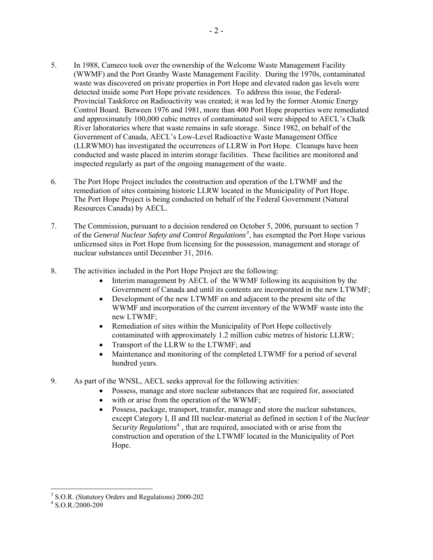- 5. In 1988, Cameco took over the ownership of the Welcome Waste Management Facility (WWMF) and the Port Granby Waste Management Facility. During the 1970s, contaminated waste was discovered on private properties in Port Hope and elevated radon gas levels were detected inside some Port Hope private residences. To address this issue, the Federal-Provincial Taskforce on Radioactivity was created; it was led by the former Atomic Energy Control Board. Between 1976 and 1981, more than 400 Port Hope properties were remediated and approximately 100,000 cubic metres of contaminated soil were shipped to AECL's Chalk River laboratories where that waste remains in safe storage. Since 1982, on behalf of the Government of Canada, AECL's Low-Level Radioactive Waste Management Office (LLRWMO) has investigated the occurrences of LLRW in Port Hope. Cleanups have been conducted and waste placed in interim storage facilities. These facilities are monitored and inspected regularly as part of the ongoing management of the waste.
- 6. The Port Hope Project includes the construction and operation of the LTWMF and the remediation of sites containing historic LLRW located in the Municipality of Port Hope. The Port Hope Project is being conducted on behalf of the Federal Government (Natural Resources Canada) by AECL.
- 7. The Commission, pursuant to a decision rendered on October 5, 2006, pursuant to section 7 of the *General Nuclear Safety and Control Regulations[3](#page-4-0)* , has exempted the Port Hope various unlicensed sites in Port Hope from licensing for the possession, management and storage of nuclear substances until December 31, 2016.
- 8. The activities included in the Port Hope Project are the following:
	- Interim management by AECL of the WWMF following its acquisition by the Government of Canada and until its contents are incorporated in the new LTWMF;
	- Development of the new LTWMF on and adjacent to the present site of the WWMF and incorporation of the current inventory of the WWMF waste into the new LTWMF;
	- Remediation of sites within the Municipality of Port Hope collectively contaminated with approximately 1.2 million cubic metres of historic LLRW;
	- Transport of the LLRW to the LTWMF; and
	- Maintenance and monitoring of the completed LTWMF for a period of several hundred years.
- 9. As part of the WNSL, AECL seeks approval for the following activities:
	- Possess, manage and store nuclear substances that are required for, associated
	- with or arise from the operation of the WWMF;
	- Possess, package, transport, transfer, manage and store the nuclear substances, except Category I, II and III nuclear-material as defined in section I of the *Nuclear*  Security Regulations<sup>[4](#page-4-1)</sup>, that are required, associated with or arise from the construction and operation of the LTWMF located in the Municipality of Port Hope.

 3 S.O.R. (Statutory Orders and Regulations) 2000-202

<span id="page-4-1"></span><span id="page-4-0"></span><sup>4</sup> S.O.R./2000-209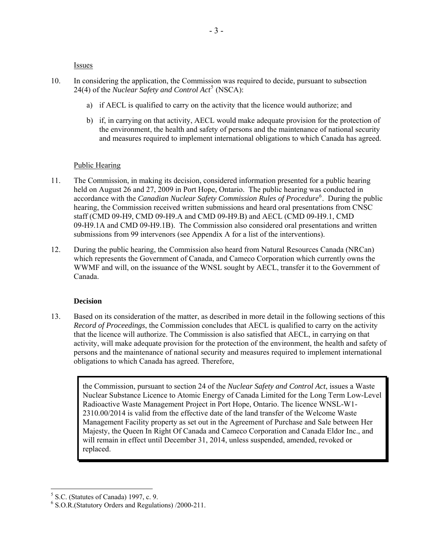Issues

- <span id="page-5-0"></span>10. In considering the application, the Commission was required to decide, pursuant to subsection 24(4) of the *Nuclear Safety and Control Act*<sup>[5](#page-5-1)</sup> (NSCA):
	- a) if AECL is qualified to carry on the activity that the licence would authorize; and
	- b) if, in carrying on that activity, AECL would make adequate provision for the protection of the environment, the health and safety of persons and the maintenance of national security and measures required to implement international obligations to which Canada has agreed.

#### Public Hearing

- 11. The Commission, in making its decision, considered information presented for a public hearing held on August 26 and 27, 2009 in Port Hope, Ontario. The public hearing was conducted in accordance with the *Canadian Nuclear Safety Commission Rules of Procedure*<sup>[6](#page-5-2)</sup>. During the public hearing, the Commission received written submissions and heard oral presentations from CNSC staff (CMD 09-H9, CMD 09-H9.A and CMD 09-H9.B) and AECL (CMD 09-H9.1, CMD 09-H9.1A and CMD 09-H9.1B). The Commission also considered oral presentations and written submissions from 99 intervenors (see Appendix A for a list of the interventions).
- 12. During the public hearing, the Commission also heard from Natural Resources Canada (NRCan) which represents the Government of Canada, and Cameco Corporation which currently owns the WWMF and will, on the issuance of the WNSL sought by AECL, transfer it to the Government of Canada.

#### **Decision**

13. Based on its consideration of the matter, as described in more detail in the following sections of this *Record of Proceedings*, the Commission concludes that AECL is qualified to carry on the activity that the licence will authorize. The Commission is also satisfied that AECL, in carrying on that activity, will make adequate provision for the protection of the environment, the health and safety of persons and the maintenance of national security and measures required to implement international obligations to which Canada has agreed. Therefore,

the Commission, pursuant to section 24 of the *Nuclear Safety and Control Act*, issues a Waste Nuclear Substance Licence to Atomic Energy of Canada Limited for the Long Term Low-Level Radioactive Waste Management Project in Port Hope, Ontario. The licence WNSL-W1- 2310.00/2014 is valid from the effective date of the land transfer of the Welcome Waste Management Facility property as set out in the Agreement of Purchase and Sale between Her Majesty, the Queen In Right Of Canada and Cameco Corporation and Canada Eldor Inc., and will remain in effect until December 31, 2014, unless suspended, amended, revoked or replaced.

<span id="page-5-1"></span><sup>5</sup> S.C. (Statutes of Canada) 1997, c. 9.

<span id="page-5-2"></span><sup>6</sup> S.O.R.(Statutory Orders and Regulations) /2000-211.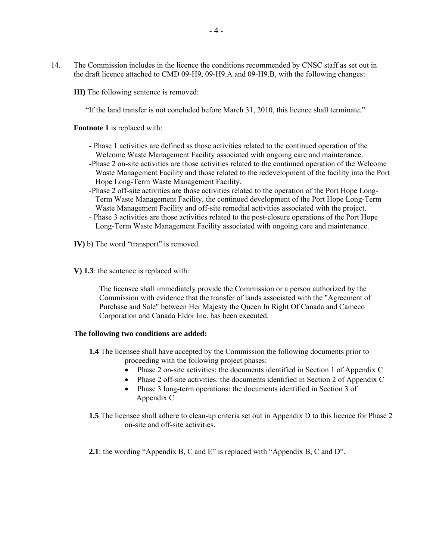14. The Commission includes in the licence the conditions recommended by CNSC staff as set out in the draft licence attached to CMD 09-H9, 09-H9.A and 09-H9.B, with the following changes:

**III)** The following sentence is removed:

"If the land transfer is not concluded before March 31, 2010, this licence shall terminate."

**Footnote 1** is replaced with:

- Phase 1 activities are defined as those activities related to the continued operation of the Welcome Waste Management Facility associated with ongoing care and maintenance.
- -Phase 2 on-site activities are those activities related to the continued operation of the Welcome Waste Management Facility and those related to the redevelopment of the facility into the Port Hope Long-Term Waste Management Facility.
- -Phase 2 off-site activities are those activities related to the operation of the Port Hope Long-Term Waste Management Facility, the continued development of the Port Hope Long-Term Waste Management Facility and off-site remedial activities associated with the project.
- Phase 3 activities are those activities related to the post-closure operations of the Port Hope Long-Term Waste Management Facility associated with ongoing care and maintenance.
- **IV**) b) The word "transport" is removed.
- **V) 1.3**: the sentence is replaced with:

The licensee shall immediately provide the Commission or a person authorized by the Commission with evidence that the transfer of lands associated with the "Agreement of Purchase and Sale" between Her Majesty the Queen In Right Of Canada and Cameco Corporation and Canada Eldor Inc. has been executed.

#### **The following two conditions are added:**

- **1.4** The licensee shall have accepted by the Commission the following documents prior to proceeding with the following project phases:
	- Phase 2 on-site activities: the documents identified in Section 1 of Appendix C
	- Phase 2 off-site activities: the documents identified in Section 2 of Appendix C
	- Phase 3 long-term operations: the documents identified in Section 3 of Appendix C
- **1.5** The licensee shall adhere to clean-up criteria set out in Appendix D to this licence for Phase 2 on-site and off-site activities.
- **2.1**: the wording "Appendix B, C and E" is replaced with "Appendix B, C and D".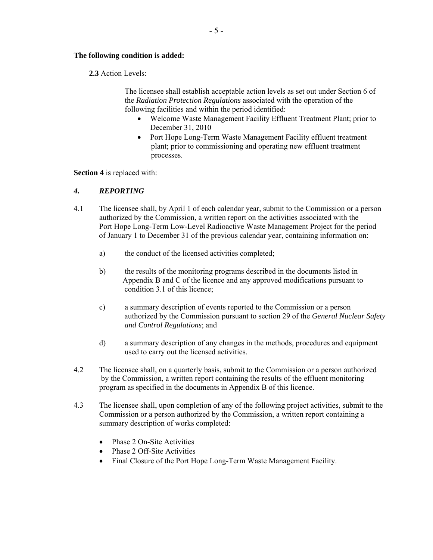#### **The following condition is added:**

#### **2.3** Action Levels:

The licensee shall establish acceptable action levels as set out under Section 6 of the *Radiation Protection Regulations* associated with the operation of the following facilities and within the period identified:

- Welcome Waste Management Facility Effluent Treatment Plant; prior to December 31, 2010
- Port Hope Long-Term Waste Management Facility effluent treatment plant; prior to commissioning and operating new effluent treatment processes.

**Section 4** is replaced with:

#### *4. REPORTING*

- 4.1 The licensee shall, by April 1 of each calendar year, submit to the Commission or a person authorized by the Commission, a written report on the activities associated with the Port Hope Long-Term Low-Level Radioactive Waste Management Project for the period of January 1 to December 31 of the previous calendar year, containing information on:
	- a) the conduct of the licensed activities completed;
	- b) the results of the monitoring programs described in the documents listed in Appendix B and C of the licence and any approved modifications pursuant to condition 3.1 of this licence;
	- c) a summary description of events reported to the Commission or a person authorized by the Commission pursuant to section 29 of the *General Nuclear Safety and Control Regulations*; and
	- d) a summary description of any changes in the methods, procedures and equipment used to carry out the licensed activities.
- 4.2 The licensee shall, on a quarterly basis, submit to the Commission or a person authorized by the Commission, a written report containing the results of the effluent monitoring program as specified in the documents in Appendix B of this licence.
- 4.3 The licensee shall, upon completion of any of the following project activities, submit to the Commission or a person authorized by the Commission, a written report containing a summary description of works completed:
	- Phase 2 On-Site Activities
	- Phase 2 Off-Site Activities
	- Final Closure of the Port Hope Long-Term Waste Management Facility.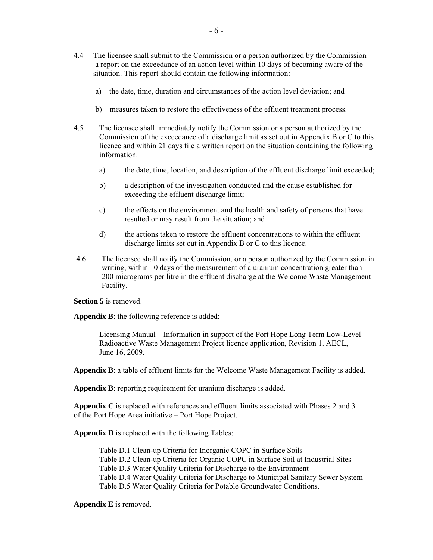- 4.4 The licensee shall submit to the Commission or a person authorized by the Commission a report on the exceedance of an action level within 10 days of becoming aware of the situation. This report should contain the following information:
	- a) the date, time, duration and circumstances of the action level deviation; and
	- b) measures taken to restore the effectiveness of the effluent treatment process.
- 4.5 The licensee shall immediately notify the Commission or a person authorized by the Commission of the exceedance of a discharge limit as set out in Appendix B or C to this licence and within 21 days file a written report on the situation containing the following information:
	- a) the date, time, location, and description of the effluent discharge limit exceeded;
	- b) a description of the investigation conducted and the cause established for exceeding the effluent discharge limit;
	- c) the effects on the environment and the health and safety of persons that have resulted or may result from the situation; and
	- d) the actions taken to restore the effluent concentrations to within the effluent discharge limits set out in Appendix B or C to this licence.
- 4.6 The licensee shall notify the Commission, or a person authorized by the Commission in writing, within 10 days of the measurement of a uranium concentration greater than 200 micrograms per litre in the effluent discharge at the Welcome Waste Management Facility.

**Section 5** is removed.

**Appendix B**: the following reference is added:

Licensing Manual – Information in support of the Port Hope Long Term Low-Level Radioactive Waste Management Project licence application, Revision 1, AECL, June 16, 2009.

**Appendix B**: a table of effluent limits for the Welcome Waste Management Facility is added.

**Appendix B**: reporting requirement for uranium discharge is added.

**Appendix C** is replaced with references and effluent limits associated with Phases 2 and 3 of the Port Hope Area initiative – Port Hope Project.

**Appendix D** is replaced with the following Tables:

Table D.1 Clean-up Criteria for Inorganic COPC in Surface Soils Table D.2 Clean-up Criteria for Organic COPC in Surface Soil at Industrial Sites Table D.3 Water Quality Criteria for Discharge to the Environment Table D.4 Water Quality Criteria for Discharge to Municipal Sanitary Sewer System Table D.5 Water Quality Criteria for Potable Groundwater Conditions.

#### **Appendix E** is removed.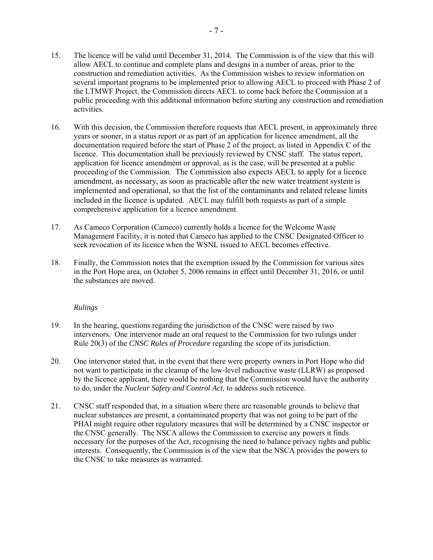- <span id="page-9-0"></span>15. The licence will be valid until December 31, 2014. The Commission is of the view that this will allow AECL to continue and complete plans and designs in a number of areas, prior to the construction and remediation activities. As the Commission wishes to review information on several important programs to be implemented prior to allowing AECL to proceed with Phase 2 of the LTMWF Project, the Commission directs AECL to come back before the Commission at a public proceeding with this additional information before starting any construction and remediation activities.
- 16. With this decision, the Commission therefore requests that AECL present, in approximately three years or sooner, in a status report or as part of an application for licence amendment, all the documentation required before the start of Phase 2 of the project, as listed in Appendix C of the licence. This documentation shall be previously reviewed by CNSC staff. The status report, application for licence amendment or approval, as is the case, will be presented at a public proceeding of the Commission. The Commission also expects AECL to apply for a licence amendment, as necessary, as soon as practicable after the new water treatment system is implemented and operational, so that the list of the contaminants and related release limits included in the licence is updated. AECL may fulfill both requests as part of a simple comprehensive application for a licence amendment.
- 17. As Cameco Corporation (Cameco) currently holds a licence for the Welcome Waste Management Facility, it is noted that Cameco has applied to the CNSC Designated Officer to seek revocation of its licence when the WSNL issued to AECL becomes effective.
- 18. Finally, the Commission notes that the exemption issued by the Commission for various sites in the Port Hope area, on October 5, 2006 remains in effect until December 31, 2016, or until the substances are moved.

#### *Rulings*

- 19. In the hearing, questions regarding the jurisdiction of the CNSC were raised by two intervenors. One intervenor made an oral request to the Commission for two rulings under Rule 20(3) of the *CNSC Rules of Procedure* regarding the scope of its jurisdiction.
- 20. One intervenor stated that, in the event that there were property owners in Port Hope who did not want to participate in the cleanup of the low-level radioactive waste (LLRW) as proposed by the licence applicant, there would be nothing that the Commission would have the authority to do, under the *Nuclear Safety and Control Act*, to address such reticence.
- 21. CNSC staff responded that, in a situation where there are reasonable grounds to believe that nuclear substances are present, a contaminated property that was not going to be part of the PHAI might require other regulatory measures that will be determined by a CNSC inspector or the CNSC generally. The NSCA allows the Commission to exercise any powers it finds necessary for the purposes of the Act, recognising the need to balance privacy rights and public interests. Consequently, the Commission is of the view that the NSCA provides the powers to the CNSC to take measures as warranted.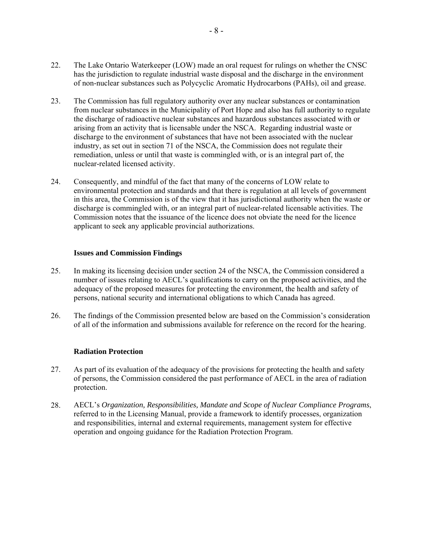- <span id="page-10-0"></span>22. The Lake Ontario Waterkeeper (LOW) made an oral request for rulings on whether the CNSC has the jurisdiction to regulate industrial waste disposal and the discharge in the environment of non-nuclear substances such as Polycyclic Aromatic Hydrocarbons (PAHs), oil and grease.
- 23. The Commission has full regulatory authority over any nuclear substances or contamination from nuclear substances in the Municipality of Port Hope and also has full authority to regulate the discharge of radioactive nuclear substances and hazardous substances associated with or arising from an activity that is licensable under the NSCA. Regarding industrial waste or discharge to the environment of substances that have not been associated with the nuclear industry, as set out in section 71 of the NSCA, the Commission does not regulate their remediation, unless or until that waste is commingled with, or is an integral part of, the nuclear-related licensed activity.
- 24. Consequently, and mindful of the fact that many of the concerns of LOW relate to environmental protection and standards and that there is regulation at all levels of government in this area, the Commission is of the view that it has jurisdictional authority when the waste or discharge is commingled with, or an integral part of nuclear-related licensable activities. The Commission notes that the issuance of the licence does not obviate the need for the licence applicant to seek any applicable provincial authorizations.

#### **Issues and Commission Findings**

- 25. In making its licensing decision under section 24 of the NSCA, the Commission considered a number of issues relating to AECL's qualifications to carry on the proposed activities, and the adequacy of the proposed measures for protecting the environment, the health and safety of persons, national security and international obligations to which Canada has agreed.
- 26. The findings of the Commission presented below are based on the Commission's consideration of all of the information and submissions available for reference on the record for the hearing.

#### **Radiation Protection**

- 27. As part of its evaluation of the adequacy of the provisions for protecting the health and safety of persons, the Commission considered the past performance of AECL in the area of radiation protection.
- 28. AECL's *Organization, Responsibilities, Mandate and Scope of Nuclear Compliance Programs*, referred to in the Licensing Manual, provide a framework to identify processes, organization and responsibilities, internal and external requirements, management system for effective operation and ongoing guidance for the Radiation Protection Program.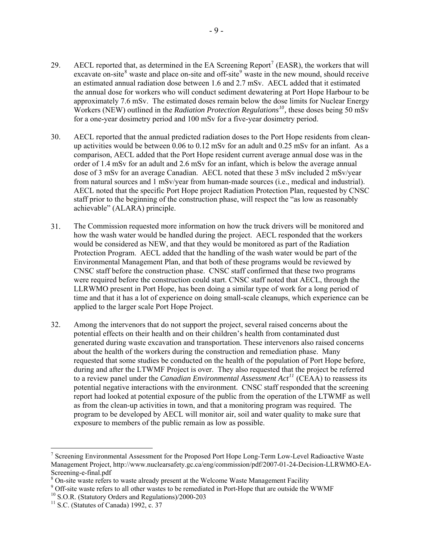- 29. AECL reported that, as determined in the EA Screening Report<sup>[7](#page-11-0)</sup> (EASR), the workers that will excavate on-site<sup>[8](#page-11-1)</sup> waste and place on-site and off-site<sup>[9](#page-11-2)</sup> waste in the new mound, should receive an estimated annual radiation dose between 1.6 and 2.7 mSv. AECL added that it estimated the annual dose for workers who will conduct sediment dewatering at Port Hope Harbour to be approximately 7.6 mSv. The estimated doses remain below the dose limits for Nuclear Energy Workers (NEW) outlined in the *Radiation Protection Regulations[10](#page-11-3),* these doses being 50 mSv for a one-year dosimetry period and 100 mSv for a five-year dosimetry period.
- 30. AECL reported that the annual predicted radiation doses to the Port Hope residents from cleanup activities would be between 0.06 to 0.12 mSv for an adult and 0.25 mSv for an infant. As a comparison, AECL added that the Port Hope resident current average annual dose was in the order of 1.4 mSv for an adult and 2.6 mSv for an infant, which is below the average annual dose of 3 mSv for an average Canadian. AECL noted that these 3 mSv included 2 mSv/year from natural sources and 1 mSv/year from human-made sources (i.e., medical and industrial). AECL noted that the specific Port Hope project Radiation Protection Plan, requested by CNSC staff prior to the beginning of the construction phase, will respect the "as low as reasonably achievable" (ALARA) principle.
- 31. The Commission requested more information on how the truck drivers will be monitored and how the wash water would be handled during the project. AECL responded that the workers would be considered as NEW, and that they would be monitored as part of the Radiation Protection Program. AECL added that the handling of the wash water would be part of the Environmental Management Plan, and that both of these programs would be reviewed by CNSC staff before the construction phase. CNSC staff confirmed that these two programs were required before the construction could start. CNSC staff noted that AECL, through the LLRWMO present in Port Hope, has been doing a similar type of work for a long period of time and that it has a lot of experience on doing small-scale cleanups, which experience can be applied to the larger scale Port Hope Project.
- 32. Among the intervenors that do not support the project, several raised concerns about the potential effects on their health and on their children's health from contaminated dust generated during waste excavation and transportation. These intervenors also raised concerns about the health of the workers during the construction and remediation phase. Many requested that some studies be conducted on the health of the population of Port Hope before, during and after the LTWMF Project is over. They also requested that the project be referred to a review panel under the *Canadian Environmental Assessment Act[11](#page-11-4)* (CEAA) to reassess its potential negative interactions with the environment. CNSC staff responded that the screening report had looked at potential exposure of the public from the operation of the LTWMF as well as from the clean-up activities in town, and that a monitoring program was required. The program to be developed by AECL will monitor air, soil and water quality to make sure that exposure to members of the public remain as low as possible.

<span id="page-11-0"></span><sup>&</sup>lt;sup>7</sup> Screening Environmental Assessment for the Proposed Port Hope Long-Term Low-Level Radioactive Waste Management Project, http://www.nuclearsafety.gc.ca/eng/commission/pdf/2007-01-24-Decision-LLRWMO-EA-Screening-e-final.pdf

<span id="page-11-1"></span> $^8$  On-site waste refers to waste already present at the Welcome Waste Management Facility  $^9$  Off site waste refers to all other wastes to be remadiated in Port Hope that are outside the

<span id="page-11-2"></span><sup>&</sup>lt;sup>9</sup> Off-site waste refers to all other wastes to be remediated in Port-Hope that are outside the WWMF <sup>10</sup> S.O.R. (Statutory Orders and Regulations)/2000-203

<span id="page-11-3"></span>

<span id="page-11-4"></span> $11$  S.C. (Statutes of Canada) 1992, c. 37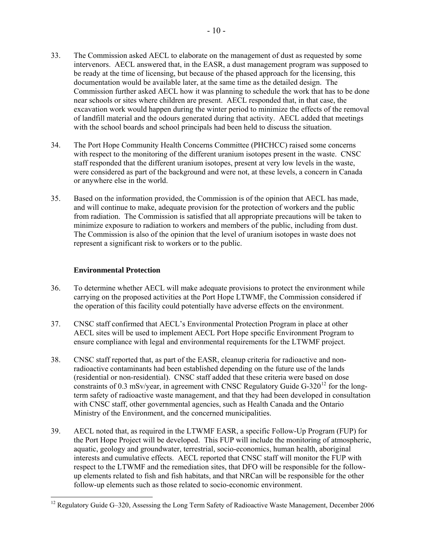- <span id="page-12-0"></span>33. The Commission asked AECL to elaborate on the management of dust as requested by some intervenors. AECL answered that, in the EASR, a dust management program was supposed to be ready at the time of licensing, but because of the phased approach for the licensing, this documentation would be available later, at the same time as the detailed design. The Commission further asked AECL how it was planning to schedule the work that has to be done near schools or sites where children are present. AECL responded that, in that case, the excavation work would happen during the winter period to minimize the effects of the removal of landfill material and the odours generated during that activity. AECL added that meetings with the school boards and school principals had been held to discuss the situation.
- 34. The Port Hope Community Health Concerns Committee (PHCHCC) raised some concerns with respect to the monitoring of the different uranium isotopes present in the waste. CNSC staff responded that the different uranium isotopes, present at very low levels in the waste, were considered as part of the background and were not, at these levels, a concern in Canada or anywhere else in the world.
- 35. Based on the information provided, the Commission is of the opinion that AECL has made, and will continue to make, adequate provision for the protection of workers and the public from radiation. The Commission is satisfied that all appropriate precautions will be taken to minimize exposure to radiation to workers and members of the public, including from dust. The Commission is also of the opinion that the level of uranium isotopes in waste does not represent a significant risk to workers or to the public.

#### **Environmental Protection**

- 36. To determine whether AECL will make adequate provisions to protect the environment while carrying on the proposed activities at the Port Hope LTWMF, the Commission considered if the operation of this facility could potentially have adverse effects on the environment.
- 37. CNSC staff confirmed that AECL's Environmental Protection Program in place at other AECL sites will be used to implement AECL Port Hope specific Environment Program to ensure compliance with legal and environmental requirements for the LTWMF project.
- 38. CNSC staff reported that, as part of the EASR, cleanup criteria for radioactive and nonradioactive contaminants had been established depending on the future use of the lands (residential or non-residential). CNSC staff added that these criteria were based on dose constraints of 0.3 mSv/year, in agreement with CNSC Regulatory Guide  $G-320^{12}$  $G-320^{12}$  $G-320^{12}$  for the longterm safety of radioactive waste management, and that they had been developed in consultation with CNSC staff, other governmental agencies, such as Health Canada and the Ontario Ministry of the Environment, and the concerned municipalities.
- 39. AECL noted that, as required in the LTWMF EASR, a specific Follow-Up Program (FUP) for the Port Hope Project will be developed. This FUP will include the monitoring of atmospheric, aquatic, geology and groundwater, terrestrial, socio-economics, human health, aboriginal interests and cumulative effects. AECL reported that CNSC staff will monitor the FUP with respect to the LTWMF and the remediation sites, that DFO will be responsible for the followup elements related to fish and fish habitats, and that NRCan will be responsible for the other follow-up elements such as those related to socio-economic environment.

<span id="page-12-1"></span><sup>&</sup>lt;sup>12</sup> Regulatory Guide G-320, Assessing the Long Term Safety of Radioactive Waste Management, December 2006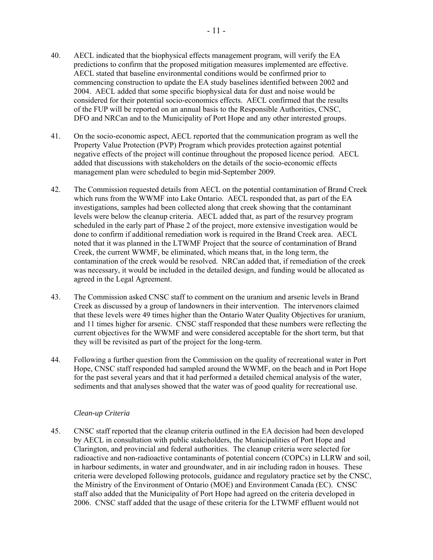- <span id="page-13-0"></span>40. AECL indicated that the biophysical effects management program, will verify the EA predictions to confirm that the proposed mitigation measures implemented are effective. AECL stated that baseline environmental conditions would be confirmed prior to commencing construction to update the EA study baselines identified between 2002 and 2004. AECL added that some specific biophysical data for dust and noise would be considered for their potential socio-economics effects. AECL confirmed that the results of the FUP will be reported on an annual basis to the Responsible Authorities, CNSC, DFO and NRCan and to the Municipality of Port Hope and any other interested groups.
- 41. On the socio-economic aspect, AECL reported that the communication program as well the Property Value Protection (PVP) Program which provides protection against potential negative effects of the project will continue throughout the proposed licence period. AECL added that discussions with stakeholders on the details of the socio-economic effects management plan were scheduled to begin mid-September 2009.
- 42. The Commission requested details from AECL on the potential contamination of Brand Creek which runs from the WWMF into Lake Ontario. AECL responded that, as part of the EA investigations, samples had been collected along that creek showing that the contaminant levels were below the cleanup criteria. AECL added that, as part of the resurvey program scheduled in the early part of Phase 2 of the project, more extensive investigation would be done to confirm if additional remediation work is required in the Brand Creek area. AECL noted that it was planned in the LTWMF Project that the source of contamination of Brand Creek, the current WWMF, be eliminated, which means that, in the long term, the contamination of the creek would be resolved. NRCan added that, if remediation of the creek was necessary, it would be included in the detailed design, and funding would be allocated as agreed in the Legal Agreement.
- 43. The Commission asked CNSC staff to comment on the uranium and arsenic levels in Brand Creek as discussed by a group of landowners in their intervention. The intervenors claimed that these levels were 49 times higher than the Ontario Water Quality Objectives for uranium, and 11 times higher for arsenic. CNSC staff responded that these numbers were reflecting the current objectives for the WWMF and were considered acceptable for the short term, but that they will be revisited as part of the project for the long-term.
- 44. Following a further question from the Commission on the quality of recreational water in Port Hope, CNSC staff responded had sampled around the WWMF, on the beach and in Port Hope for the past several years and that it had performed a detailed chemical analysis of the water, sediments and that analyses showed that the water was of good quality for recreational use.

#### *Clean-up Criteria*

45. CNSC staff reported that the cleanup criteria outlined in the EA decision had been developed by AECL in consultation with public stakeholders, the Municipalities of Port Hope and Clarington, and provincial and federal authorities. The cleanup criteria were selected for radioactive and non-radioactive contaminants of potential concern (COPCs) in LLRW and soil, in harbour sediments, in water and groundwater, and in air including radon in houses. These criteria were developed following protocols, guidance and regulatory practice set by the CNSC, the Ministry of the Environment of Ontario (MOE) and Environment Canada (EC). CNSC staff also added that the Municipality of Port Hope had agreed on the criteria developed in 2006. CNSC staff added that the usage of these criteria for the LTWMF effluent would not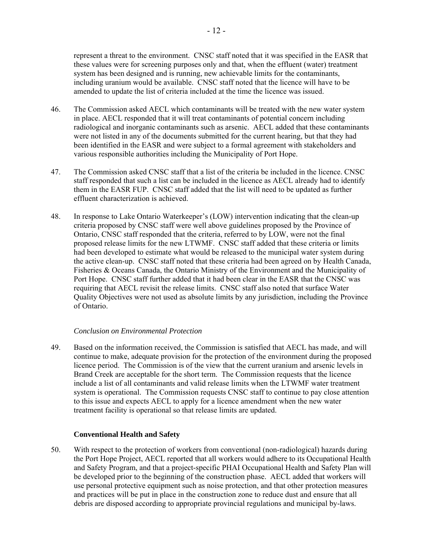represent a threat to the environment. CNSC staff noted that it was specified in the EASR that these values were for screening purposes only and that, when the effluent (water) treatment system has been designed and is running, new achievable limits for the contaminants, including uranium would be available. CNSC staff noted that the licence will have to be amended to update the list of criteria included at the time the licence was issued.

- 46. The Commission asked AECL which contaminants will be treated with the new water system in place. AECL responded that it will treat contaminants of potential concern including radiological and inorganic contaminants such as arsenic. AECL added that these contaminants were not listed in any of the documents submitted for the current hearing, but that they had been identified in the EASR and were subject to a formal agreement with stakeholders and various responsible authorities including the Municipality of Port Hope.
- 47. The Commission asked CNSC staff that a list of the criteria be included in the licence. CNSC staff responded that such a list can be included in the licence as AECL already had to identify them in the EASR FUP. CNSC staff added that the list will need to be updated as further effluent characterization is achieved.
- 48. In response to Lake Ontario Waterkeeper's (LOW) intervention indicating that the clean-up criteria proposed by CNSC staff were well above guidelines proposed by the Province of Ontario, CNSC staff responded that the criteria, referred to by LOW, were not the final proposed release limits for the new LTWMF. CNSC staff added that these criteria or limits had been developed to estimate what would be released to the municipal water system during the active clean-up. CNSC staff noted that these criteria had been agreed on by Health Canada, Fisheries & Oceans Canada, the Ontario Ministry of the Environment and the Municipality of Port Hope. CNSC staff further added that it had been clear in the EASR that the CNSC was requiring that AECL revisit the release limits. CNSC staff also noted that surface Water Quality Objectives were not used as absolute limits by any jurisdiction, including the Province of Ontario.

#### *Conclusion on Environmental Protection*

49. Based on the information received, the Commission is satisfied that AECL has made, and will continue to make, adequate provision for the protection of the environment during the proposed licence period. The Commission is of the view that the current uranium and arsenic levels in Brand Creek are acceptable for the short term. The Commission requests that the licence include a list of all contaminants and valid release limits when the LTWMF water treatment system is operational. The Commission requests CNSC staff to continue to pay close attention to this issue and expects AECL to apply for a licence amendment when the new water treatment facility is operational so that release limits are updated.

#### **Conventional Health and Safety**

50. With respect to the protection of workers from conventional (non-radiological) hazards during the Port Hope Project, AECL reported that all workers would adhere to its Occupational Health and Safety Program, and that a project-specific PHAI Occupational Health and Safety Plan will be developed prior to the beginning of the construction phase. AECL added that workers will use personal protective equipment such as noise protection, and that other protection measures and practices will be put in place in the construction zone to reduce dust and ensure that all debris are disposed according to appropriate provincial regulations and municipal by-laws.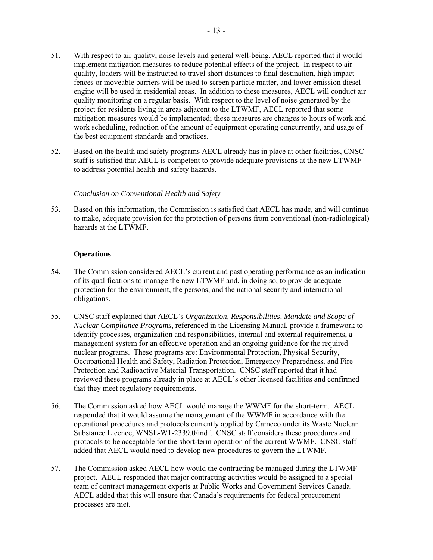- <span id="page-15-0"></span>51. With respect to air quality, noise levels and general well-being, AECL reported that it would implement mitigation measures to reduce potential effects of the project. In respect to air quality, loaders will be instructed to travel short distances to final destination, high impact fences or moveable barriers will be used to screen particle matter, and lower emission diesel engine will be used in residential areas. In addition to these measures, AECL will conduct air quality monitoring on a regular basis. With respect to the level of noise generated by the project for residents living in areas adjacent to the LTWMF, AECL reported that some mitigation measures would be implemented; these measures are changes to hours of work and work scheduling, reduction of the amount of equipment operating concurrently, and usage of the best equipment standards and practices.
- 52. Based on the health and safety programs AECL already has in place at other facilities, CNSC staff is satisfied that AECL is competent to provide adequate provisions at the new LTWMF to address potential health and safety hazards.

#### *Conclusion on Conventional Health and Safety*

53. Based on this information, the Commission is satisfied that AECL has made, and will continue to make, adequate provision for the protection of persons from conventional (non-radiological) hazards at the LTWMF.

#### **Operations**

- 54. The Commission considered AECL's current and past operating performance as an indication of its qualifications to manage the new LTWMF and, in doing so, to provide adequate protection for the environment, the persons, and the national security and international obligations.
- 55. CNSC staff explained that AECL's *Organization, Responsibilities, Mandate and Scope of Nuclear Compliance Programs*, referenced in the Licensing Manual, provide a framework to identify processes, organization and responsibilities, internal and external requirements, a management system for an effective operation and an ongoing guidance for the required nuclear programs. These programs are: Environmental Protection, Physical Security, Occupational Health and Safety, Radiation Protection, Emergency Preparedness, and Fire Protection and Radioactive Material Transportation. CNSC staff reported that it had reviewed these programs already in place at AECL's other licensed facilities and confirmed that they meet regulatory requirements.
- 56. The Commission asked how AECL would manage the WWMF for the short-term. AECL responded that it would assume the management of the WWMF in accordance with the operational procedures and protocols currently applied by Cameco under its Waste Nuclear Substance Licence, WNSL-W1-2339.0/indf. CNSC staff considers these procedures and protocols to be acceptable for the short-term operation of the current WWMF. CNSC staff added that AECL would need to develop new procedures to govern the LTWMF.
- 57. The Commission asked AECL how would the contracting be managed during the LTWMF project. AECL responded that major contracting activities would be assigned to a special team of contract management experts at Public Works and Government Services Canada. AECL added that this will ensure that Canada's requirements for federal procurement processes are met.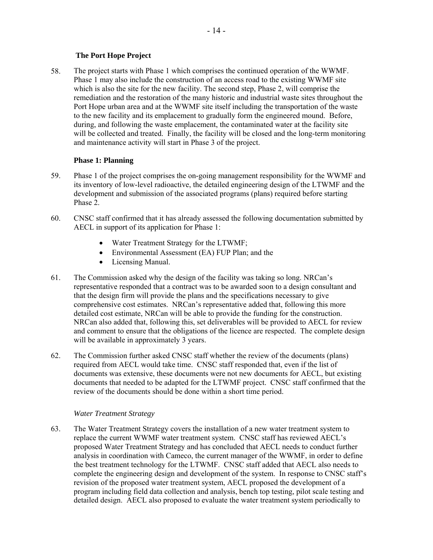#### **The Port Hope Project**

<span id="page-16-0"></span>58. The project starts with Phase 1 which comprises the continued operation of the WWMF. Phase 1 may also include the construction of an access road to the existing WWMF site which is also the site for the new facility. The second step, Phase 2, will comprise the remediation and the restoration of the many historic and industrial waste sites throughout the Port Hope urban area and at the WWMF site itself including the transportation of the waste to the new facility and its emplacement to gradually form the engineered mound. Before, during, and following the waste emplacement, the contaminated water at the facility site will be collected and treated. Finally, the facility will be closed and the long-term monitoring and maintenance activity will start in Phase 3 of the project.

#### **Phase 1: Planning**

- 59. Phase 1 of the project comprises the on-going management responsibility for the WWMF and its inventory of low-level radioactive, the detailed engineering design of the LTWMF and the development and submission of the associated programs (plans) required before starting Phase 2.
- 60. CNSC staff confirmed that it has already assessed the following documentation submitted by AECL in support of its application for Phase 1:
	- Water Treatment Strategy for the LTWMF;
	- Environmental Assessment (EA) FUP Plan; and the
	- Licensing Manual.
- 61. The Commission asked why the design of the facility was taking so long. NRCan's representative responded that a contract was to be awarded soon to a design consultant and that the design firm will provide the plans and the specifications necessary to give comprehensive cost estimates. NRCan's representative added that, following this more detailed cost estimate, NRCan will be able to provide the funding for the construction. NRCan also added that, following this, set deliverables will be provided to AECL for review and comment to ensure that the obligations of the licence are respected. The complete design will be available in approximately 3 years.
- 62. The Commission further asked CNSC staff whether the review of the documents (plans) required from AECL would take time. CNSC staff responded that, even if the list of documents was extensive, these documents were not new documents for AECL, but existing documents that needed to be adapted for the LTWMF project. CNSC staff confirmed that the review of the documents should be done within a short time period.

#### *Water Treatment Strategy*

63. The Water Treatment Strategy covers the installation of a new water treatment system to replace the current WWMF water treatment system. CNSC staff has reviewed AECL's proposed Water Treatment Strategy and has concluded that AECL needs to conduct further analysis in coordination with Cameco, the current manager of the WWMF, in order to define the best treatment technology for the LTWMF. CNSC staff added that AECL also needs to complete the engineering design and development of the system. In response to CNSC staff's revision of the proposed water treatment system, AECL proposed the development of a program including field data collection and analysis, bench top testing, pilot scale testing and detailed design. AECL also proposed to evaluate the water treatment system periodically to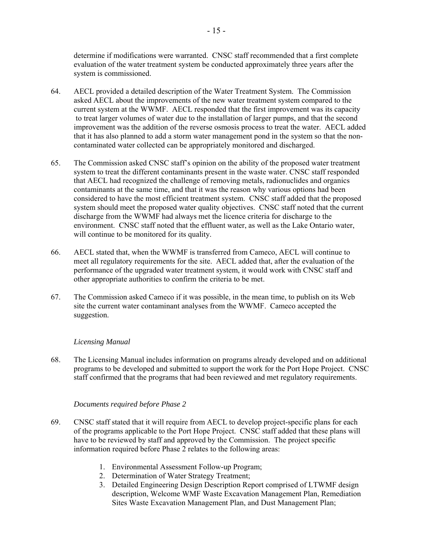determine if modifications were warranted. CNSC staff recommended that a first complete evaluation of the water treatment system be conducted approximately three years after the system is commissioned.

- 64. AECL provided a detailed description of the Water Treatment System. The Commission asked AECL about the improvements of the new water treatment system compared to the current system at the WWMF. AECL responded that the first improvement was its capacity to treat larger volumes of water due to the installation of larger pumps, and that the second improvement was the addition of the reverse osmosis process to treat the water. AECL added that it has also planned to add a storm water management pond in the system so that the noncontaminated water collected can be appropriately monitored and discharged.
- 65. The Commission asked CNSC staff's opinion on the ability of the proposed water treatment system to treat the different contaminants present in the waste water. CNSC staff responded that AECL had recognized the challenge of removing metals, radionuclides and organics contaminants at the same time, and that it was the reason why various options had been considered to have the most efficient treatment system. CNSC staff added that the proposed system should meet the proposed water quality objectives. CNSC staff noted that the current discharge from the WWMF had always met the licence criteria for discharge to the environment. CNSC staff noted that the effluent water, as well as the Lake Ontario water, will continue to be monitored for its quality.
- 66. AECL stated that, when the WWMF is transferred from Cameco, AECL will continue to meet all regulatory requirements for the site. AECL added that, after the evaluation of the performance of the upgraded water treatment system, it would work with CNSC staff and other appropriate authorities to confirm the criteria to be met.
- 67. The Commission asked Cameco if it was possible, in the mean time, to publish on its Web site the current water contaminant analyses from the WWMF. Cameco accepted the suggestion.

#### *Licensing Manual*

68. The Licensing Manual includes information on programs already developed and on additional programs to be developed and submitted to support the work for the Port Hope Project. CNSC staff confirmed that the programs that had been reviewed and met regulatory requirements.

#### *Documents required before Phase 2*

- 69. CNSC staff stated that it will require from AECL to develop project-specific plans for each of the programs applicable to the Port Hope Project. CNSC staff added that these plans will have to be reviewed by staff and approved by the Commission. The project specific information required before Phase 2 relates to the following areas:
	- 1. Environmental Assessment Follow-up Program;
	- 2. Determination of Water Strategy Treatment;
	- 3. Detailed Engineering Design Description Report comprised of LTWMF design description, Welcome WMF Waste Excavation Management Plan, Remediation Sites Waste Excavation Management Plan, and Dust Management Plan;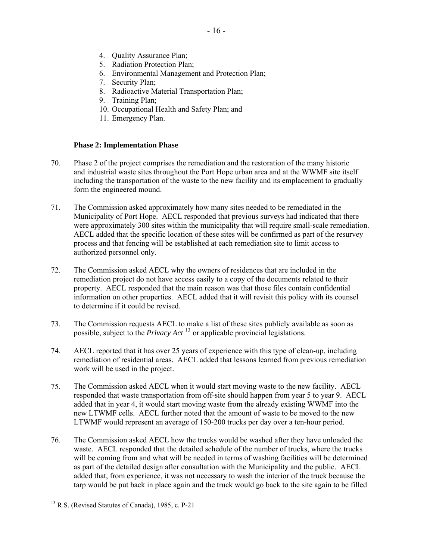- 4. Quality Assurance Plan;
- 5. Radiation Protection Plan;
- 6. Environmental Management and Protection Plan;
- 7. Security Plan;
- 8. Radioactive Material Transportation Plan;
- 9. Training Plan;
- 10. Occupational Health and Safety Plan; and
- 11. Emergency Plan.

#### **Phase 2: Implementation Phase**

- 70. Phase 2 of the project comprises the remediation and the restoration of the many historic and industrial waste sites throughout the Port Hope urban area and at the WWMF site itself including the transportation of the waste to the new facility and its emplacement to gradually form the engineered mound.
- 71. The Commission asked approximately how many sites needed to be remediated in the Municipality of Port Hope. AECL responded that previous surveys had indicated that there were approximately 300 sites within the municipality that will require small-scale remediation. AECL added that the specific location of these sites will be confirmed as part of the resurvey process and that fencing will be established at each remediation site to limit access to authorized personnel only.
- 72. The Commission asked AECL why the owners of residences that are included in the remediation project do not have access easily to a copy of the documents related to their property. AECL responded that the main reason was that those files contain confidential information on other properties. AECL added that it will revisit this policy with its counsel to determine if it could be revised.
- 73. The Commission requests AECL to make a list of these sites publicly available as soon as possible, subject to the *Privacy Act* [13](#page-18-0) or applicable provincial legislations.
- 74. AECL reported that it has over 25 years of experience with this type of clean-up, including remediation of residential areas. AECL added that lessons learned from previous remediation work will be used in the project.
- 75. The Commission asked AECL when it would start moving waste to the new facility. AECL responded that waste transportation from off-site should happen from year 5 to year 9. AECL added that in year 4, it would start moving waste from the already existing WWMF into the new LTWMF cells. AECL further noted that the amount of waste to be moved to the new LTWMF would represent an average of 150-200 trucks per day over a ten-hour period.
- 76. The Commission asked AECL how the trucks would be washed after they have unloaded the waste. AECL responded that the detailed schedule of the number of trucks, where the trucks will be coming from and what will be needed in terms of washing facilities will be determined as part of the detailed design after consultation with the Municipality and the public. AECL added that, from experience, it was not necessary to wash the interior of the truck because the tarp would be put back in place again and the truck would go back to the site again to be filled

<span id="page-18-0"></span><sup>&</sup>lt;sup>13</sup> R.S. (Revised Statutes of Canada), 1985, c. P-21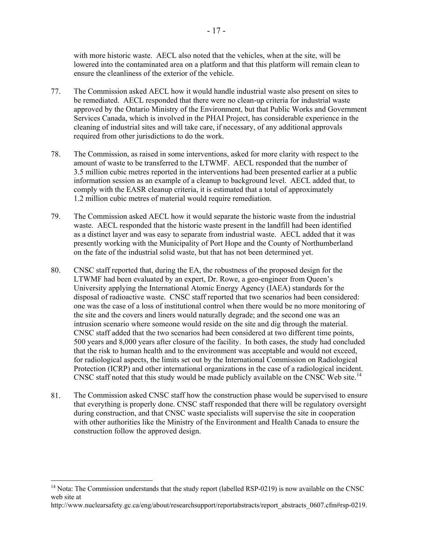with more historic waste. AECL also noted that the vehicles, when at the site, will be lowered into the contaminated area on a platform and that this platform will remain clean to ensure the cleanliness of the exterior of the vehicle.

- 77. The Commission asked AECL how it would handle industrial waste also present on sites to be remediated. AECL responded that there were no clean-up criteria for industrial waste approved by the Ontario Ministry of the Environment, but that Public Works and Government Services Canada, which is involved in the PHAI Project, has considerable experience in the cleaning of industrial sites and will take care, if necessary, of any additional approvals required from other jurisdictions to do the work.
- 78. The Commission, as raised in some interventions, asked for more clarity with respect to the amount of waste to be transferred to the LTWMF. AECL responded that the number of 3.5 million cubic metres reported in the interventions had been presented earlier at a public information session as an example of a cleanup to background level. AECL added that, to comply with the EASR cleanup criteria, it is estimated that a total of approximately 1.2 million cubic metres of material would require remediation.
- 79. The Commission asked AECL how it would separate the historic waste from the industrial waste. AECL responded that the historic waste present in the landfill had been identified as a distinct layer and was easy to separate from industrial waste. AECL added that it was presently working with the Municipality of Port Hope and the County of Northumberland on the fate of the industrial solid waste, but that has not been determined yet.
- 80. CNSC staff reported that, during the EA, the robustness of the proposed design for the LTWMF had been evaluated by an expert, Dr. Rowe, a geo-engineer from Queen's University applying the International Atomic Energy Agency (IAEA) standards for the disposal of radioactive waste. CNSC staff reported that two scenarios had been considered: one was the case of a loss of institutional control when there would be no more monitoring of the site and the covers and liners would naturally degrade; and the second one was an intrusion scenario where someone would reside on the site and dig through the material. CNSC staff added that the two scenarios had been considered at two different time points, 500 years and 8,000 years after closure of the facility. In both cases, the study had concluded that the risk to human health and to the environment was acceptable and would not exceed, for radiological aspects, the limits set out by the International Commission on Radiological Protection (ICRP) and other international organizations in the case of a radiological incident. CNSC staff noted that this study would be made publicly available on the CNSC Web site.<sup>[14](#page-19-0)</sup>
- 81. The Commission asked CNSC staff how the construction phase would be supervised to ensure that everything is properly done. CNSC staff responded that there will be regulatory oversight during construction, and that CNSC waste specialists will supervise the site in cooperation with other authorities like the Ministry of the Environment and Health Canada to ensure the construction follow the approved design.

<span id="page-19-0"></span><sup>&</sup>lt;sup>14</sup> Nota: The Commission understands that the study report (labelled RSP-0219) is now available on the CNSC web site at

http://www.nuclearsafety.gc.ca/eng/about/researchsupport/reportabstracts/report\_abstracts\_0607.cfm#rsp-0219.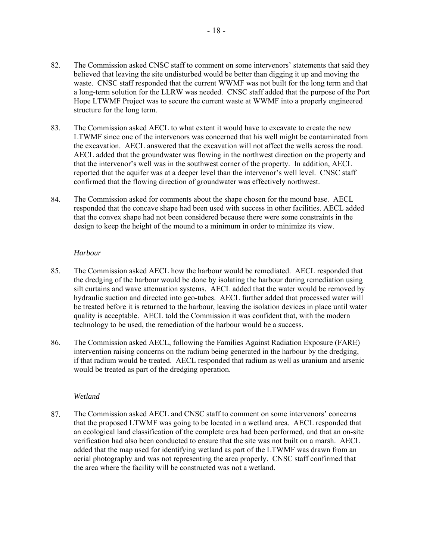- 82. The Commission asked CNSC staff to comment on some intervenors' statements that said they believed that leaving the site undisturbed would be better than digging it up and moving the waste. CNSC staff responded that the current WWMF was not built for the long term and that a long-term solution for the LLRW was needed. CNSC staff added that the purpose of the Port Hope LTWMF Project was to secure the current waste at WWMF into a properly engineered structure for the long term.
- 83. The Commission asked AECL to what extent it would have to excavate to create the new LTWMF since one of the intervenors was concerned that his well might be contaminated from the excavation. AECL answered that the excavation will not affect the wells across the road. AECL added that the groundwater was flowing in the northwest direction on the property and that the intervenor's well was in the southwest corner of the property. In addition, AECL reported that the aquifer was at a deeper level than the intervenor's well level. CNSC staff confirmed that the flowing direction of groundwater was effectively northwest.
- 84. The Commission asked for comments about the shape chosen for the mound base. AECL responded that the concave shape had been used with success in other facilities. AECL added that the convex shape had not been considered because there were some constraints in the design to keep the height of the mound to a minimum in order to minimize its view.

#### *Harbour*

- 85. The Commission asked AECL how the harbour would be remediated. AECL responded that the dredging of the harbour would be done by isolating the harbour during remediation using silt curtains and wave attenuation systems. AECL added that the water would be removed by hydraulic suction and directed into geo-tubes. AECL further added that processed water will be treated before it is returned to the harbour, leaving the isolation devices in place until water quality is acceptable. AECL told the Commission it was confident that, with the modern technology to be used, the remediation of the harbour would be a success.
- 86. The Commission asked AECL, following the Families Against Radiation Exposure (FARE) intervention raising concerns on the radium being generated in the harbour by the dredging, if that radium would be treated. AECL responded that radium as well as uranium and arsenic would be treated as part of the dredging operation.

#### *Wetland*

87. The Commission asked AECL and CNSC staff to comment on some intervenors' concerns that the proposed LTWMF was going to be located in a wetland area. AECL responded that an ecological land classification of the complete area had been performed, and that an on-site verification had also been conducted to ensure that the site was not built on a marsh. AECL added that the map used for identifying wetland as part of the LTWMF was drawn from an aerial photography and was not representing the area properly. CNSC staff confirmed that the area where the facility will be constructed was not a wetland.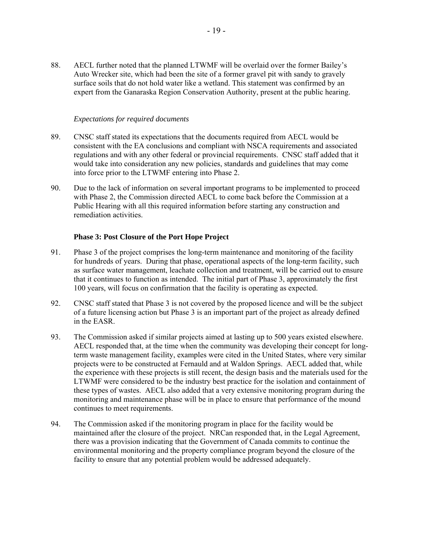88. AECL further noted that the planned LTWMF will be overlaid over the former Bailey's Auto Wrecker site, which had been the site of a former gravel pit with sandy to gravely surface soils that do not hold water like a wetland. This statement was confirmed by an expert from the Ganaraska Region Conservation Authority, present at the public hearing.

#### *Expectations for required documents*

- 89. CNSC staff stated its expectations that the documents required from AECL would be consistent with the EA conclusions and compliant with NSCA requirements and associated regulations and with any other federal or provincial requirements. CNSC staff added that it would take into consideration any new policies, standards and guidelines that may come into force prior to the LTWMF entering into Phase 2.
- 90. Due to the lack of information on several important programs to be implemented to proceed with Phase 2, the Commission directed AECL to come back before the Commission at a Public Hearing with all this required information before starting any construction and remediation activities.

#### **Phase 3: Post Closure of the Port Hope Project**

- 91. Phase 3 of the project comprises the long-term maintenance and monitoring of the facility for hundreds of years. During that phase, operational aspects of the long-term facility, such as surface water management, leachate collection and treatment, will be carried out to ensure that it continues to function as intended. The initial part of Phase 3, approximately the first 100 years, will focus on confirmation that the facility is operating as expected.
- 92. CNSC staff stated that Phase 3 is not covered by the proposed licence and will be the subject of a future licensing action but Phase 3 is an important part of the project as already defined in the EASR.
- 93. The Commission asked if similar projects aimed at lasting up to 500 years existed elsewhere. AECL responded that, at the time when the community was developing their concept for longterm waste management facility, examples were cited in the United States, where very similar projects were to be constructed at Fernauld and at Waldon Springs. AECL added that, while the experience with these projects is still recent, the design basis and the materials used for the LTWMF were considered to be the industry best practice for the isolation and containment of these types of wastes. AECL also added that a very extensive monitoring program during the monitoring and maintenance phase will be in place to ensure that performance of the mound continues to meet requirements.
- 94. The Commission asked if the monitoring program in place for the facility would be maintained after the closure of the project. NRCan responded that, in the Legal Agreement, there was a provision indicating that the Government of Canada commits to continue the environmental monitoring and the property compliance program beyond the closure of the facility to ensure that any potential problem would be addressed adequately.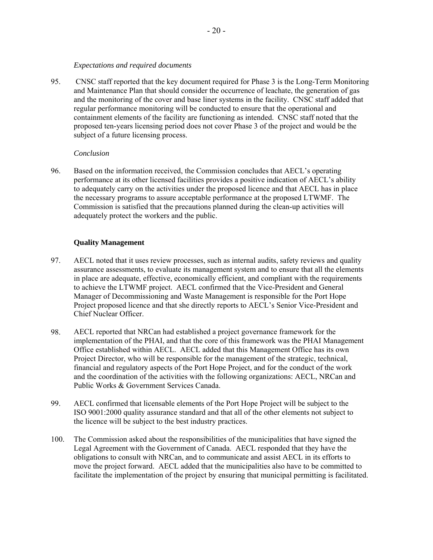#### *Expectations and required documents*

<span id="page-22-0"></span>95. CNSC staff reported that the key document required for Phase 3 is the Long-Term Monitoring and Maintenance Plan that should consider the occurrence of leachate, the generation of gas and the monitoring of the cover and base liner systems in the facility. CNSC staff added that regular performance monitoring will be conducted to ensure that the operational and containment elements of the facility are functioning as intended. CNSC staff noted that the proposed ten-years licensing period does not cover Phase 3 of the project and would be the subject of a future licensing process.

#### *Conclusion*

96. Based on the information received, the Commission concludes that AECL's operating performance at its other licensed facilities provides a positive indication of AECL's ability to adequately carry on the activities under the proposed licence and that AECL has in place the necessary programs to assure acceptable performance at the proposed LTWMF. The Commission is satisfied that the precautions planned during the clean-up activities will adequately protect the workers and the public.

#### **Quality Management**

- 97. AECL noted that it uses review processes, such as internal audits, safety reviews and quality assurance assessments, to evaluate its management system and to ensure that all the elements in place are adequate, effective, economically efficient, and compliant with the requirements to achieve the LTWMF project. AECL confirmed that the Vice-President and General Manager of Decommissioning and Waste Management is responsible for the Port Hope Project proposed licence and that she directly reports to AECL's Senior Vice-President and Chief Nuclear Officer.
- 98. AECL reported that NRCan had established a project governance framework for the implementation of the PHAI, and that the core of this framework was the PHAI Management Office established within AECL. AECL added that this Management Office has its own Project Director, who will be responsible for the management of the strategic, technical, financial and regulatory aspects of the Port Hope Project, and for the conduct of the work and the coordination of the activities with the following organizations: AECL, NRCan and Public Works & Government Services Canada.
- 99. AECL confirmed that licensable elements of the Port Hope Project will be subject to the ISO 9001:2000 quality assurance standard and that all of the other elements not subject to the licence will be subject to the best industry practices.
- 100. The Commission asked about the responsibilities of the municipalities that have signed the Legal Agreement with the Government of Canada. AECL responded that they have the obligations to consult with NRCan, and to communicate and assist AECL in its efforts to move the project forward. AECL added that the municipalities also have to be committed to facilitate the implementation of the project by ensuring that municipal permitting is facilitated.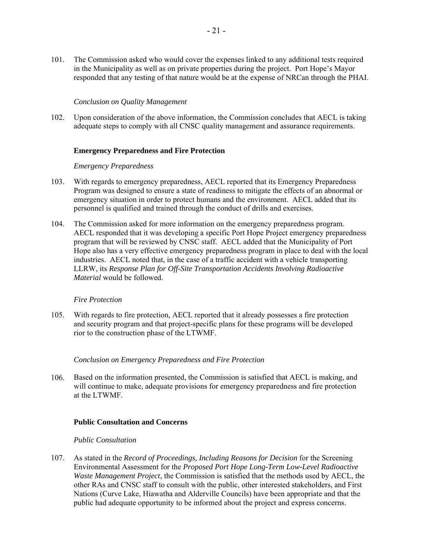<span id="page-23-0"></span>101. The Commission asked who would cover the expenses linked to any additional tests required in the Municipality as well as on private properties during the project. Port Hope's Mayor responded that any testing of that nature would be at the expense of NRCan through the PHAI.

#### *Conclusion on Quality Management*

102. Upon consideration of the above information, the Commission concludes that AECL is taking adequate steps to comply with all CNSC quality management and assurance requirements.

#### **Emergency Preparedness and Fire Protection**

#### *Emergency Preparedness*

- 103. With regards to emergency preparedness, AECL reported that its Emergency Preparedness Program was designed to ensure a state of readiness to mitigate the effects of an abnormal or emergency situation in order to protect humans and the environment. AECL added that its personnel is qualified and trained through the conduct of drills and exercises.
- 104. The Commission asked for more information on the emergency preparedness program. AECL responded that it was developing a specific Port Hope Project emergency preparedness program that will be reviewed by CNSC staff. AECL added that the Municipality of Port Hope also has a very effective emergency preparedness program in place to deal with the local industries. AECL noted that, in the case of a traffic accident with a vehicle transporting LLRW, its *Response Plan for Off-Site Transportation Accidents Involving Radioactive Material* would be followed.

#### *Fire Protection*

105. With regards to fire protection, AECL reported that it already possesses a fire protection and security program and that project-specific plans for these programs will be developed rior to the construction phase of the LTWMF.

#### *Conclusion on Emergency Preparedness and Fire Protection*

106. Based on the information presented, the Commission is satisfied that AECL is making, and will continue to make, adequate provisions for emergency preparedness and fire protection at the LTWMF.

#### **Public Consultation and Concerns**

#### *Public Consultation*

107. As stated in the *Record of Proceedings, Including Reasons for Decision* for the Screening Environmental Assessment for the *Proposed Port Hope Long-Term Low-Level Radioactive Waste Management Project*, the Commission is satisfied that the methods used by AECL, the other RAs and CNSC staff to consult with the public, other interested stakeholders, and First Nations (Curve Lake, Hiawatha and Alderville Councils) have been appropriate and that the public had adequate opportunity to be informed about the project and express concerns.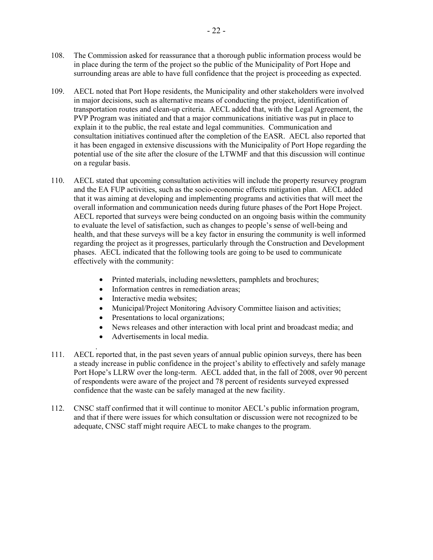- 108. The Commission asked for reassurance that a thorough public information process would be in place during the term of the project so the public of the Municipality of Port Hope and surrounding areas are able to have full confidence that the project is proceeding as expected.
- 109. AECL noted that Port Hope residents, the Municipality and other stakeholders were involved in major decisions, such as alternative means of conducting the project, identification of transportation routes and clean-up criteria. AECL added that, with the Legal Agreement, the PVP Program was initiated and that a major communications initiative was put in place to explain it to the public, the real estate and legal communities. Communication and consultation initiatives continued after the completion of the EASR. AECL also reported that it has been engaged in extensive discussions with the Municipality of Port Hope regarding the potential use of the site after the closure of the LTWMF and that this discussion will continue on a regular basis.
- 110. AECL stated that upcoming consultation activities will include the property resurvey program and the EA FUP activities, such as the socio-economic effects mitigation plan. AECL added that it was aiming at developing and implementing programs and activities that will meet the overall information and communication needs during future phases of the Port Hope Project. AECL reported that surveys were being conducted on an ongoing basis within the community to evaluate the level of satisfaction, such as changes to people's sense of well-being and health, and that these surveys will be a key factor in ensuring the community is well informed regarding the project as it progresses, particularly through the Construction and Development phases. AECL indicated that the following tools are going to be used to communicate effectively with the community:
	- Printed materials, including newsletters, pamphlets and brochures;
	- Information centres in remediation areas:
	- Interactive media websites:
	- Municipal/Project Monitoring Advisory Committee liaison and activities;
	- Presentations to local organizations;
	- News releases and other interaction with local print and broadcast media; and
	- Advertisements in local media.
- 111. AECL reported that, in the past seven years of annual public opinion surveys, there has been a steady increase in public confidence in the project's ability to effectively and safely manage Port Hope's LLRW over the long-term. AECL added that, in the fall of 2008, over 90 percent of respondents were aware of the project and 78 percent of residents surveyed expressed confidence that the waste can be safely managed at the new facility.
- 112. CNSC staff confirmed that it will continue to monitor AECL's public information program, and that if there were issues for which consultation or discussion were not recognized to be adequate, CNSC staff might require AECL to make changes to the program.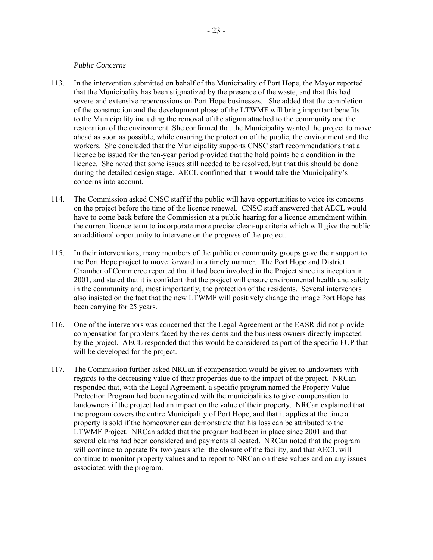#### *Public Concerns*

- <span id="page-25-0"></span>113. In the intervention submitted on behalf of the Municipality of Port Hope, the Mayor reported that the Municipality has been stigmatized by the presence of the waste, and that this had severe and extensive repercussions on Port Hope businesses. She added that the completion of the construction and the development phase of the LTWMF will bring important benefits to the Municipality including the removal of the stigma attached to the community and the restoration of the environment. She confirmed that the Municipality wanted the project to move ahead as soon as possible, while ensuring the protection of the public, the environment and the workers. She concluded that the Municipality supports CNSC staff recommendations that a licence be issued for the ten-year period provided that the hold points be a condition in the licence. She noted that some issues still needed to be resolved, but that this should be done during the detailed design stage. AECL confirmed that it would take the Municipality's concerns into account.
- 114. The Commission asked CNSC staff if the public will have opportunities to voice its concerns on the project before the time of the licence renewal. CNSC staff answered that AECL would have to come back before the Commission at a public hearing for a licence amendment within the current licence term to incorporate more precise clean-up criteria which will give the public an additional opportunity to intervene on the progress of the project.
- 115. In their interventions, many members of the public or community groups gave their support to the Port Hope project to move forward in a timely manner. The Port Hope and District Chamber of Commerce reported that it had been involved in the Project since its inception in 2001, and stated that it is confident that the project will ensure environmental health and safety in the community and, most importantly, the protection of the residents. Several intervenors also insisted on the fact that the new LTWMF will positively change the image Port Hope has been carrying for 25 years.
- 116. One of the intervenors was concerned that the Legal Agreement or the EASR did not provide compensation for problems faced by the residents and the business owners directly impacted by the project. AECL responded that this would be considered as part of the specific FUP that will be developed for the project.
- 117. The Commission further asked NRCan if compensation would be given to landowners with regards to the decreasing value of their properties due to the impact of the project. NRCan responded that, with the Legal Agreement, a specific program named the Property Value Protection Program had been negotiated with the municipalities to give compensation to landowners if the project had an impact on the value of their property. NRCan explained that the program covers the entire Municipality of Port Hope, and that it applies at the time a property is sold if the homeowner can demonstrate that his loss can be attributed to the LTWMF Project. NRCan added that the program had been in place since 2001 and that several claims had been considered and payments allocated. NRCan noted that the program will continue to operate for two years after the closure of the facility, and that AECL will continue to monitor property values and to report to NRCan on these values and on any issues associated with the program.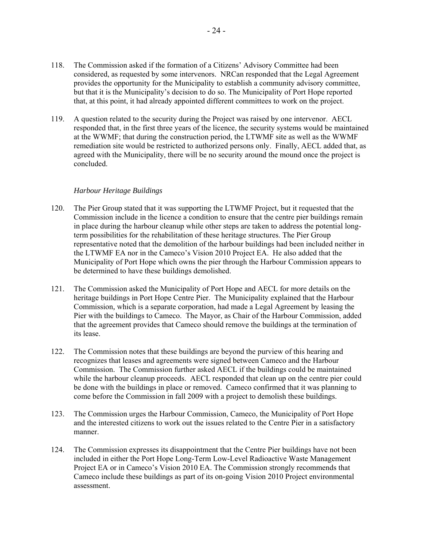- 118. The Commission asked if the formation of a Citizens' Advisory Committee had been considered, as requested by some intervenors. NRCan responded that the Legal Agreement provides the opportunity for the Municipality to establish a community advisory committee, but that it is the Municipality's decision to do so. The Municipality of Port Hope reported that, at this point, it had already appointed different committees to work on the project.
- 119. A question related to the security during the Project was raised by one intervenor. AECL responded that, in the first three years of the licence, the security systems would be maintained at the WWMF; that during the construction period, the LTWMF site as well as the WWMF remediation site would be restricted to authorized persons only. Finally, AECL added that, as agreed with the Municipality, there will be no security around the mound once the project is concluded.

#### *Harbour Heritage Buildings*

- 120. The Pier Group stated that it was supporting the LTWMF Project, but it requested that the Commission include in the licence a condition to ensure that the centre pier buildings remain in place during the harbour cleanup while other steps are taken to address the potential longterm possibilities for the rehabilitation of these heritage structures. The Pier Group representative noted that the demolition of the harbour buildings had been included neither in the LTWMF EA nor in the Cameco's Vision 2010 Project EA. He also added that the Municipality of Port Hope which owns the pier through the Harbour Commission appears to be determined to have these buildings demolished.
- 121. The Commission asked the Municipality of Port Hope and AECL for more details on the heritage buildings in Port Hope Centre Pier. The Municipality explained that the Harbour Commission*,* which is a separate corporation, had made a Legal Agreement by leasing the Pier with the buildings to Cameco. The Mayor, as Chair of the Harbour Commission, added that the agreement provides that Cameco should remove the buildings at the termination of its lease.
- 122. The Commission notes that these buildings are beyond the purview of this hearing and recognizes that leases and agreements were signed between Cameco and the Harbour Commission. The Commission further asked AECL if the buildings could be maintained while the harbour cleanup proceeds. AECL responded that clean up on the centre pier could be done with the buildings in place or removed. Cameco confirmed that it was planning to come before the Commission in fall 2009 with a project to demolish these buildings.
- 123. The Commission urges the Harbour Commission, Cameco, the Municipality of Port Hope and the interested citizens to work out the issues related to the Centre Pier in a satisfactory manner.
- 124. The Commission expresses its disappointment that the Centre Pier buildings have not been included in either the Port Hope Long-Term Low-Level Radioactive Waste Management Project EA or in Cameco's Vision 2010 EA. The Commission strongly recommends that Cameco include these buildings as part of its on-going Vision 2010 Project environmental assessment.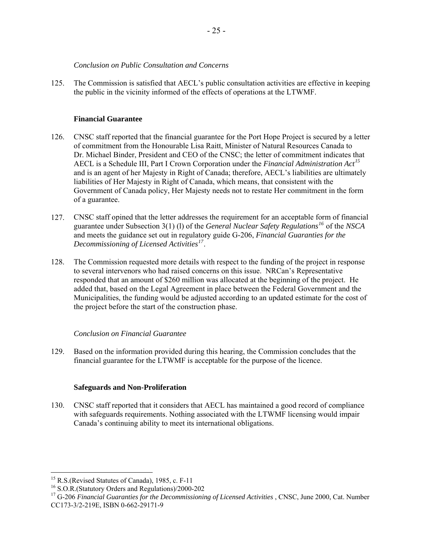#### *Conclusion on Public Consultation and Concerns*

<span id="page-27-0"></span>125. The Commission is satisfied that AECL's public consultation activities are effective in keeping the public in the vicinity informed of the effects of operations at the LTWMF.

#### **Financial Guarantee**

- 126. CNSC staff reported that the financial guarantee for the Port Hope Project is secured by a letter of commitment from the Honourable Lisa Raitt, Minister of Natural Resources Canada to Dr. Michael Binder, President and CEO of the CNSC; the letter of commitment indicates that AECL is a Schedule III, Part I Crown Corporation under the *Financial Administration Act[15](#page-27-1)* and is an agent of her Majesty in Right of Canada; therefore, AECL's liabilities are ultimately liabilities of Her Majesty in Right of Canada, which means, that consistent with the Government of Canada policy, Her Majesty needs not to restate Her commitment in the form of a guarantee.
- 127. CNSC staff opined that the letter addresses the requirement for an acceptable form of financial guarantee under Subsection 3(1) (l) of the *General Nuclear Safety Regulations[16](#page-27-2)* of the *NSCA*  and meets the guidance set out in regulatory guide G-206, *Financial Guaranties for the Decommissioning of Licensed Activities[17](#page-27-3)*.
- 128. The Commission requested more details with respect to the funding of the project in response to several intervenors who had raised concerns on this issue. NRCan's Representative responded that an amount of \$260 million was allocated at the beginning of the project. He added that, based on the Legal Agreement in place between the Federal Government and the Municipalities, the funding would be adjusted according to an updated estimate for the cost of the project before the start of the construction phase.

#### *Conclusion on Financial Guarantee*

129. Based on the information provided during this hearing, the Commission concludes that the financial guarantee for the LTWMF is acceptable for the purpose of the licence.

#### **Safeguards and Non-Proliferation**

130. CNSC staff reported that it considers that AECL has maintained a good record of compliance with safeguards requirements. Nothing associated with the LTWMF licensing would impair Canada's continuing ability to meet its international obligations.

<span id="page-27-1"></span> $<sup>15</sup>$  R.S.(Revised Statutes of Canada), 1985, c. F-11</sup>

<span id="page-27-2"></span><sup>16</sup> S.O.R.(Statutory Orders and Regulations)/2000-202

<span id="page-27-3"></span><sup>&</sup>lt;sup>17</sup> G-206 *Financial Guaranties for the Decommissioning of Licensed Activities*, CNSC, June 2000, Cat. Number CC173-3/2-219E, ISBN 0-662-29171-9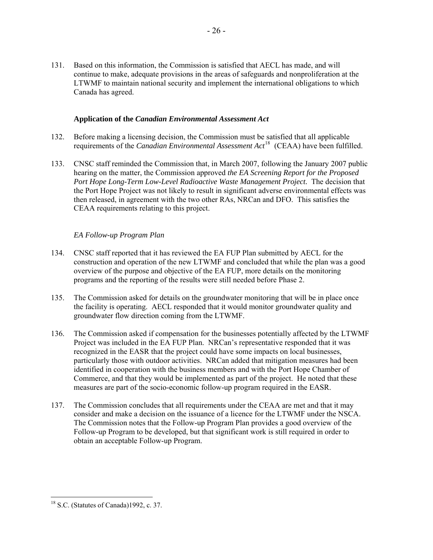<span id="page-28-0"></span>131. Based on this information, the Commission is satisfied that AECL has made, and will continue to make, adequate provisions in the areas of safeguards and nonproliferation at the LTWMF to maintain national security and implement the international obligations to which Canada has agreed.

#### **Application of the** *Canadian Environmental Assessment Act*

- 132. Before making a licensing decision, the Commission must be satisfied that all applicable requirements of the *Canadian Environmental Assessment Act*[18](#page-28-1) (CEAA) have been fulfilled.
- 133. CNSC staff reminded the Commission that, in March 2007, following the January 2007 public hearing on the matter, the Commission approved *the EA Screening Report for the Proposed Port Hope Long-Term Low-Level Radioactive Waste Management Project.* The decision that the Port Hope Project was not likely to result in significant adverse environmental effects was then released, in agreement with the two other RAs, NRCan and DFO. This satisfies the CEAA requirements relating to this project.

#### *EA Follow-up Program Plan*

- 134. CNSC staff reported that it has reviewed the EA FUP Plan submitted by AECL for the construction and operation of the new LTWMF and concluded that while the plan was a good overview of the purpose and objective of the EA FUP, more details on the monitoring programs and the reporting of the results were still needed before Phase 2.
- 135. The Commission asked for details on the groundwater monitoring that will be in place once the facility is operating. AECL responded that it would monitor groundwater quality and groundwater flow direction coming from the LTWMF.
- 136. The Commission asked if compensation for the businesses potentially affected by the LTWMF Project was included in the EA FUP Plan. NRCan's representative responded that it was recognized in the EASR that the project could have some impacts on local businesses, particularly those with outdoor activities. NRCan added that mitigation measures had been identified in cooperation with the business members and with the Port Hope Chamber of Commerce, and that they would be implemented as part of the project. He noted that these measures are part of the socio-economic follow-up program required in the EASR.
- 137. The Commission concludes that all requirements under the CEAA are met and that it may consider and make a decision on the issuance of a licence for the LTWMF under the NSCA. The Commission notes that the Follow-up Program Plan provides a good overview of the Follow-up Program to be developed, but that significant work is still required in order to obtain an acceptable Follow-up Program.

<span id="page-28-1"></span><sup>18</sup> S.C. (Statutes of Canada)1992, c. 37.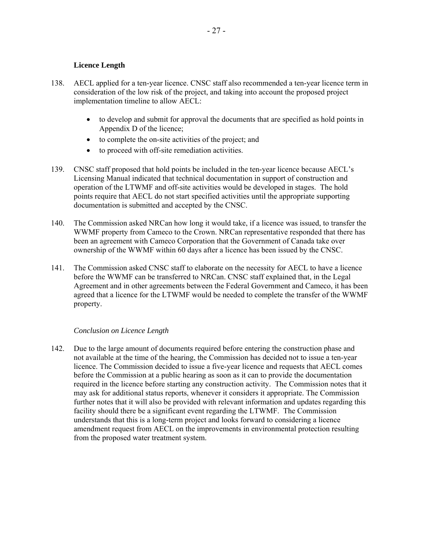#### **Licence Length**

- <span id="page-29-0"></span>138. AECL applied for a ten-year licence. CNSC staff also recommended a ten-year licence term in consideration of the low risk of the project, and taking into account the proposed project implementation timeline to allow AECL:
	- to develop and submit for approval the documents that are specified as hold points in Appendix D of the licence;
	- to complete the on-site activities of the project; and
	- to proceed with off-site remediation activities.
- 139. CNSC staff proposed that hold points be included in the ten-year licence because AECL's Licensing Manual indicated that technical documentation in support of construction and operation of the LTWMF and off-site activities would be developed in stages. The hold points require that AECL do not start specified activities until the appropriate supporting documentation is submitted and accepted by the CNSC.
- 140. The Commission asked NRCan how long it would take, if a licence was issued, to transfer the WWMF property from Cameco to the Crown. NRCan representative responded that there has been an agreement with Cameco Corporation that the Government of Canada take over ownership of the WWMF within 60 days after a licence has been issued by the CNSC.
- 141. The Commission asked CNSC staff to elaborate on the necessity for AECL to have a licence before the WWMF can be transferred to NRCan. CNSC staff explained that, in the Legal Agreement and in other agreements between the Federal Government and Cameco, it has been agreed that a licence for the LTWMF would be needed to complete the transfer of the WWMF property.

#### *Conclusion on Licence Length*

142. Due to the large amount of documents required before entering the construction phase and not available at the time of the hearing, the Commission has decided not to issue a ten-year licence. The Commission decided to issue a five-year licence and requests that AECL comes before the Commission at a public hearing as soon as it can to provide the documentation required in the licence before starting any construction activity. The Commission notes that it may ask for additional status reports, whenever it considers it appropriate. The Commission further notes that it will also be provided with relevant information and updates regarding this facility should there be a significant event regarding the LTWMF. The Commission understands that this is a long-term project and looks forward to considering a licence amendment request from AECL on the improvements in environmental protection resulting from the proposed water treatment system.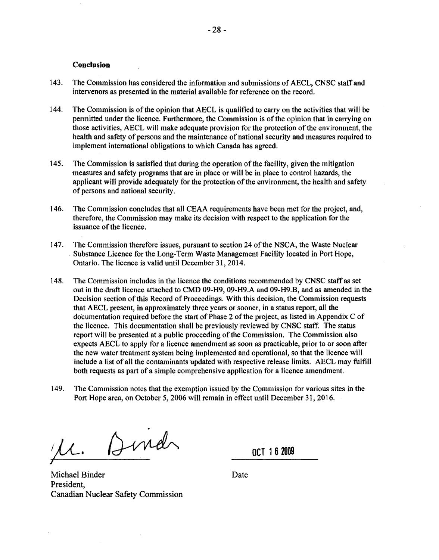#### **Conclusion**

- <span id="page-30-0"></span>143. The Commission has considered the information and submissions of AECL. CNSC staffand intervenors as presented in the material available for reference on the record.
- 144. The Commission is of the opinion that AECL is qualified to carry on the activities that will be permitted under the licence. Furthermore, the Commission is of the opinion that in carrying on those activities, AECL will make adequate provision for the protection of the environment, the health and safety of persons and the maintenance of national security and measures required to implement international obligations to which Canada has agreed.
- 145. The Commission is satisfied that during the operation of the facility, given the mitigation measures and safety programs that are in place or will be in place to control hazards, the applicant will provide adequately for the protection of the environment, the health and safety of persons and national security.
- 146. The Commission concludes that all CEAA requirements have been met for the project, and, therefore, the Commission may make its decision with respect to the application for the issuance of the licence.
- 147. The Commission therefore issues, pursuant to section 24 of the NSCA, the Waste Nuclear Substance Licence for the Long-Term Waste Management Facility located in Port Hope, Ontario. The licence is valid until December 31, 2014.
- 148. The Commission includes in the licence the conditions recommended by CNSC staff as set out in the draft licence attached to CMD 09-H9, 09-H9.A and 09-H9.B, and as amended in the Decision section of this Record of Proceedings. With this decision, the Commission requests that AECL present, in approximately three years or sooner, in a status report, all the documentation required before the start of Phase 2 of the project, as listed in Appendix C of the licence. This documentation shall be previously reviewed by CNSC staff. The status report will be presented at a public proceeding of the Commission. The Commission also expects AECL to apply for a licence amendment as soon as practicable, prior to or soon after the new water treatment system being implemented and operational, so that the licence will include a list of all the contaminants updated with respective release limits. AECL may fulfill both requests as part of a simple comprehensive application for a licence amendment.
- 149. The Commission notes that the exemption issued by the Commission for various sites in the Port Hope area, on October 5, 2006 will remain in effect until December 31, 2016.

Dindr  $\mathcal{U}.$ ./

**OCT 162009** 

Michael Binder President, Canadian Nuclear Safety Commission

Date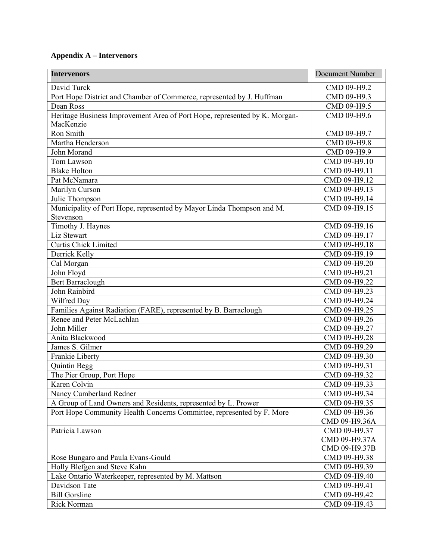## **Appendix A – Intervenors**

| <b>Intervenors</b>                                                         | <b>Document Number</b> |
|----------------------------------------------------------------------------|------------------------|
| David Turck                                                                | CMD 09-H9.2            |
| Port Hope District and Chamber of Commerce, represented by J. Huffman      | CMD 09-H9.3            |
| Dean Ross                                                                  | CMD 09-H9.5            |
| Heritage Business Improvement Area of Port Hope, represented by K. Morgan- | CMD 09-H9.6            |
| MacKenzie                                                                  |                        |
| Ron Smith                                                                  | CMD 09-H9.7            |
| Martha Henderson                                                           | CMD 09-H9.8            |
| John Morand                                                                | CMD 09-H9.9            |
| Tom Lawson                                                                 | CMD 09-H9.10           |
| <b>Blake Holton</b>                                                        | CMD 09-H9.11           |
| Pat McNamara                                                               | CMD 09-H9.12           |
| Marilyn Curson                                                             | CMD 09-H9.13           |
| Julie Thompson                                                             | CMD 09-H9.14           |
| Municipality of Port Hope, represented by Mayor Linda Thompson and M.      | CMD 09-H9.15           |
| Stevenson                                                                  |                        |
| Timothy J. Haynes                                                          | CMD 09-H9.16           |
| Liz Stewart                                                                | CMD 09-H9.17           |
| Curtis Chick Limited                                                       | CMD 09-H9.18           |
| Derrick Kelly                                                              | CMD 09-H9.19           |
| Cal Morgan                                                                 | CMD 09-H9.20           |
| John Floyd                                                                 | CMD 09-H9.21           |
| <b>Bert Barraclough</b>                                                    | CMD 09-H9.22           |
| John Rainbird                                                              | CMD 09-H9.23           |
| Wilfred Day                                                                | CMD 09-H9.24           |
| Families Against Radiation (FARE), represented by B. Barraclough           | CMD 09-H9.25           |
| Renee and Peter McLachlan                                                  | CMD 09-H9.26           |
| John Miller                                                                | CMD 09-H9.27           |
| Anita Blackwood                                                            | CMD 09-H9.28           |
| James S. Gilmer                                                            | CMD 09-H9.29           |
| Frankie Liberty                                                            | CMD 09-H9.30           |
| Quintin Begg                                                               | CMD 09-H9.31           |
| The Pier Group, Port Hope                                                  | CMD 09-H9.32           |
| Karen Colvin                                                               | CMD 09-H9.33           |
| Nancy Cumberland Redner                                                    | CMD 09-H9.34           |
| A Group of Land Owners and Residents, represented by L. Prower             | CMD 09-H9.35           |
| Port Hope Community Health Concerns Committee, represented by F. More      | CMD 09-H9.36           |
|                                                                            | CMD 09-H9.36A          |
| Patricia Lawson                                                            | CMD 09-H9.37           |
|                                                                            | CMD 09-H9.37A          |
|                                                                            | CMD 09-H9.37B          |
| Rose Bungaro and Paula Evans-Gould                                         | CMD 09-H9.38           |
| Holly Blefgen and Steve Kahn                                               | CMD 09-H9.39           |
| Lake Ontario Waterkeeper, represented by M. Mattson                        | CMD 09-H9.40           |
| Davidson Tate                                                              | CMD 09-H9.41           |
| <b>Bill Gorsline</b>                                                       | CMD 09-H9.42           |
| Rick Norman                                                                | CMD 09-H9.43           |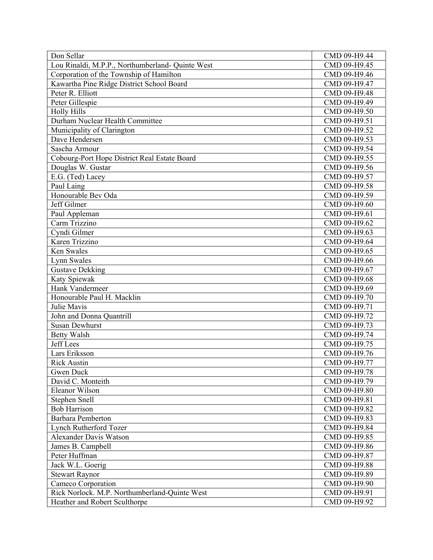| Don Sellar                                       | CMD 09-H9.44 |
|--------------------------------------------------|--------------|
| Lou Rinaldi, M.P.P., Northumberland- Quinte West | CMD 09-H9.45 |
| Corporation of the Township of Hamilton          | CMD 09-H9.46 |
| Kawartha Pine Ridge District School Board        | CMD 09-H9.47 |
| Peter R. Elliott                                 | CMD 09-H9.48 |
| Peter Gillespie                                  | CMD 09-H9.49 |
| <b>Holly Hills</b>                               | CMD 09-H9.50 |
| Durham Nuclear Health Committee                  | CMD 09-H9.51 |
| Municipality of Clarington                       | CMD 09-H9.52 |
| Dave Hendersen                                   | CMD 09-H9.53 |
| Sascha Armour                                    | CMD 09-H9.54 |
| Cobourg-Port Hope District Real Estate Board     | CMD 09-H9.55 |
| Douglas W. Gustar                                | CMD 09-H9.56 |
| E.G. (Ted) Lacey                                 | CMD 09-H9.57 |
| Paul Laing                                       | CMD 09-H9.58 |
| Honourable Bev Oda                               | CMD 09-H9.59 |
| Jeff Gilmer                                      | CMD 09-H9.60 |
| Paul Appleman                                    | CMD 09-H9.61 |
| Carm Trizzino                                    | CMD 09-H9.62 |
| Cyndi Gilmer                                     | CMD 09-H9.63 |
| Karen Trizzino                                   | CMD 09-H9.64 |
| Ken Swales                                       | CMD 09-H9.65 |
| Lynn Swales                                      | CMD 09-H9.66 |
| <b>Gustave Dekking</b>                           | CMD 09-H9.67 |
| Katy Spiewak                                     | CMD 09-H9.68 |
| Hank Vandermeer                                  | CMD 09-H9.69 |
| Honourable Paul H. Macklin                       | CMD 09-H9.70 |
| Julie Mavis                                      | CMD 09-H9.71 |
| John and Donna Quantrill                         | CMD 09-H9.72 |
| <b>Susan Dewhurst</b>                            | CMD 09-H9.73 |
| <b>Betty Walsh</b>                               | CMD 09-H9.74 |
| <b>Jeff</b> Lees                                 | CMD 09-H9.75 |
| Lars Eriksson                                    | CMD 09-H9.76 |
| <b>Rick Austin</b>                               | CMD 09-H9.77 |
| Gwen Duck                                        | CMD 09-H9.78 |
| David C. Monteith                                | CMD 09-H9.79 |
| <b>Eleanor Wilson</b>                            | CMD 09-H9.80 |
| <b>Stephen Snell</b>                             | CMD 09-H9.81 |
| <b>Bob Harrison</b>                              | CMD 09-H9.82 |
| <b>Barbara Pemberton</b>                         | CMD 09-H9.83 |
| Lynch Rutherford Tozer                           | CMD 09-H9.84 |
| <b>Alexander Davis Watson</b>                    | CMD 09-H9.85 |
| James B. Campbell                                | CMD 09-H9.86 |
| Peter Huffman                                    | CMD 09-H9.87 |
| Jack W.L. Goerig                                 | CMD 09-H9.88 |
| <b>Stewart Raynor</b>                            | CMD 09-H9.89 |
| Cameco Corporation                               | CMD 09-H9.90 |
| Rick Norlock. M.P. Northumberland-Quinte West    | CMD 09-H9.91 |
| Heather and Robert Sculthorpe                    | CMD 09-H9.92 |